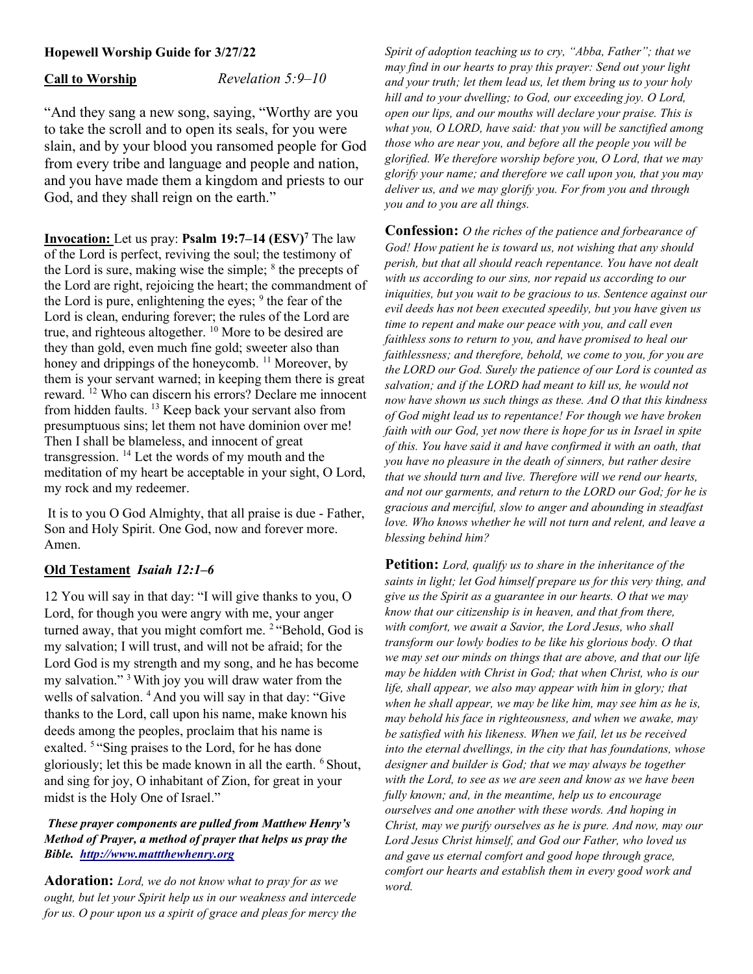## Hopewell Worship Guide for 3/27/22

Call to Worship Revelation 5:9–10

"And they sang a new song, saying, "Worthy are you to take the scroll and to open its seals, for you were slain, and by your blood you ransomed people for God from every tribe and language and people and nation, and you have made them a kingdom and priests to our God, and they shall reign on the earth."

**Invocation:** Let us pray: **Psalm 19:7–14 (ESV)<sup>7</sup> The law** of the Lord is perfect, reviving the soul; the testimony of the Lord is sure, making wise the simple; <sup>8</sup> the precepts of the Lord are right, rejoicing the heart; the commandment of the Lord is pure, enlightening the eyes;  $9$  the fear of the Lord is clean, enduring forever; the rules of the Lord are true, and righteous altogether. <sup>10</sup> More to be desired are they than gold, even much fine gold; sweeter also than honey and drippings of the honeycomb. <sup>11</sup> Moreover, by them is your servant warned; in keeping them there is great reward. <sup>12</sup> Who can discern his errors? Declare me innocent from hidden faults. <sup>13</sup> Keep back your servant also from presumptuous sins; let them not have dominion over me! Then I shall be blameless, and innocent of great transgression. <sup>14</sup> Let the words of my mouth and the meditation of my heart be acceptable in your sight, O Lord, my rock and my redeemer.

 It is to you O God Almighty, that all praise is due - Father, Son and Holy Spirit. One God, now and forever more. Amen.

#### Old Testament Isaiah 12:1–6

12 You will say in that day: "I will give thanks to you, O Lord, for though you were angry with me, your anger turned away, that you might comfort me. <sup>2</sup> "Behold, God is my salvation; I will trust, and will not be afraid; for the Lord God is my strength and my song, and he has become my salvation." <sup>3</sup>With joy you will draw water from the wells of salvation. <sup>4</sup> And you will say in that day: "Give thanks to the Lord, call upon his name, make known his deeds among the peoples, proclaim that his name is exalted. <sup>5 "</sup>Sing praises to the Lord, for he has done gloriously; let this be made known in all the earth. <sup>6</sup> Shout, and sing for joy, O inhabitant of Zion, for great in your midst is the Holy One of Israel."

#### These prayer components are pulled from Matthew Henry's Method of Prayer, a method of prayer that helps us pray the Bible. http://www.mattthewhenry.org

Adoration: Lord, we do not know what to pray for as we ought, but let your Spirit help us in our weakness and intercede for us. O pour upon us a spirit of grace and pleas for mercy the Spirit of adoption teaching us to cry, "Abba, Father"; that we may find in our hearts to pray this prayer: Send out your light and your truth; let them lead us, let them bring us to your holy hill and to your dwelling; to God, our exceeding joy. O Lord, open our lips, and our mouths will declare your praise. This is what you, O LORD, have said: that you will be sanctified among those who are near you, and before all the people you will be glorified. We therefore worship before you, O Lord, that we may glorify your name; and therefore we call upon you, that you may deliver us, and we may glorify you. For from you and through you and to you are all things.

**Confession:** O the riches of the patience and forbearance of God! How patient he is toward us, not wishing that any should perish, but that all should reach repentance. You have not dealt with us according to our sins, nor repaid us according to our iniquities, but you wait to be gracious to us. Sentence against our evil deeds has not been executed speedily, but you have given us time to repent and make our peace with you, and call even faithless sons to return to you, and have promised to heal our faithlessness; and therefore, behold, we come to you, for you are the LORD our God. Surely the patience of our Lord is counted as salvation; and if the LORD had meant to kill us, he would not now have shown us such things as these. And O that this kindness of God might lead us to repentance! For though we have broken faith with our God, yet now there is hope for us in Israel in spite of this. You have said it and have confirmed it with an oath, that you have no pleasure in the death of sinners, but rather desire that we should turn and live. Therefore will we rend our hearts, and not our garments, and return to the LORD our God; for he is gracious and merciful, slow to anger and abounding in steadfast love. Who knows whether he will not turn and relent, and leave a blessing behind him?

**Petition:** Lord, qualify us to share in the inheritance of the saints in light; let God himself prepare us for this very thing, and give us the Spirit as a guarantee in our hearts. O that we may know that our citizenship is in heaven, and that from there, with comfort, we await a Savior, the Lord Jesus, who shall transform our lowly bodies to be like his glorious body. O that we may set our minds on things that are above, and that our life may be hidden with Christ in God; that when Christ, who is our life, shall appear, we also may appear with him in glory; that when he shall appear, we may be like him, may see him as he is, may behold his face in righteousness, and when we awake, may be satisfied with his likeness. When we fail, let us be received into the eternal dwellings, in the city that has foundations, whose designer and builder is God; that we may always be together with the Lord, to see as we are seen and know as we have been fully known; and, in the meantime, help us to encourage ourselves and one another with these words. And hoping in Christ, may we purify ourselves as he is pure. And now, may our Lord Jesus Christ himself, and God our Father, who loved us and gave us eternal comfort and good hope through grace, comfort our hearts and establish them in every good work and word.